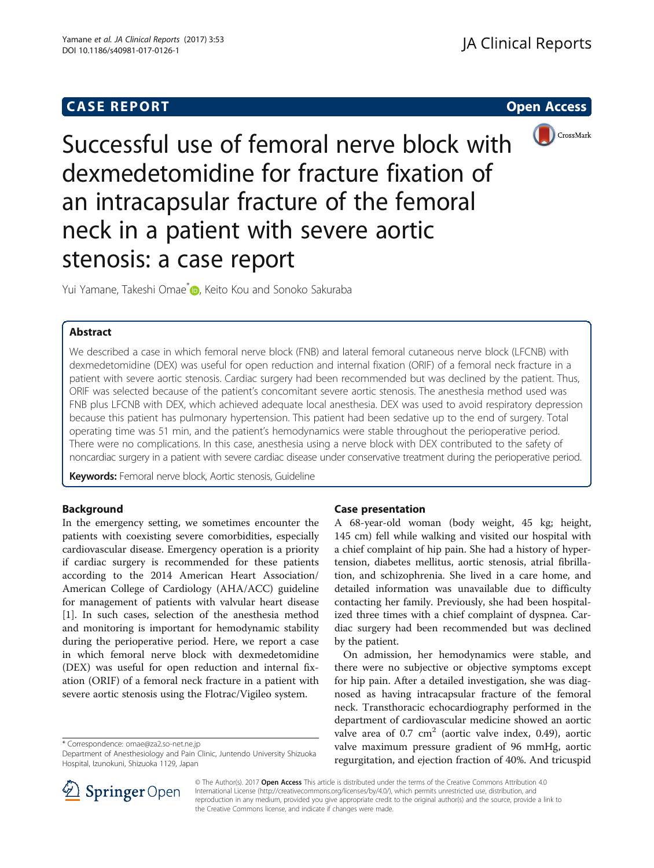# **CASE REPORT CASE REPORT CASE REPORT**



Successful use of femoral nerve block with dexmedetomidine for fracture fixation of an intracapsular fracture of the femoral neck in a patient with severe aortic stenosis: a case report

Yui Yamane[,](http://orcid.org/0000-0001-5411-1740) Takeshi Omae<sup>\*</sup> , Keito Kou and Sonoko Sakuraba

# Abstract

We described a case in which femoral nerve block (FNB) and lateral femoral cutaneous nerve block (LFCNB) with dexmedetomidine (DEX) was useful for open reduction and internal fixation (ORIF) of a femoral neck fracture in a patient with severe aortic stenosis. Cardiac surgery had been recommended but was declined by the patient. Thus, ORIF was selected because of the patient's concomitant severe aortic stenosis. The anesthesia method used was FNB plus LFCNB with DEX, which achieved adequate local anesthesia. DEX was used to avoid respiratory depression because this patient has pulmonary hypertension. This patient had been sedative up to the end of surgery. Total operating time was 51 min, and the patient's hemodynamics were stable throughout the perioperative period. There were no complications. In this case, anesthesia using a nerve block with DEX contributed to the safety of noncardiac surgery in a patient with severe cardiac disease under conservative treatment during the perioperative period.

Keywords: Femoral nerve block, Aortic stenosis, Guideline

## Background

In the emergency setting, we sometimes encounter the patients with coexisting severe comorbidities, especially cardiovascular disease. Emergency operation is a priority if cardiac surgery is recommended for these patients according to the 2014 American Heart Association/ American College of Cardiology (AHA/ACC) guideline for management of patients with valvular heart disease [[1\]](#page-2-0). In such cases, selection of the anesthesia method and monitoring is important for hemodynamic stability during the perioperative period. Here, we report a case in which femoral nerve block with dexmedetomidine (DEX) was useful for open reduction and internal fixation (ORIF) of a femoral neck fracture in a patient with severe aortic stenosis using the Flotrac/Vigileo system.

\* Correspondence: [omae@za2.so-net.ne.jp](mailto:omae@za2.so-net.ne.jp)

Department of Anesthesiology and Pain Clinic, Juntendo University Shizuoka Hospital, Izunokuni, Shizuoka 1129, Japan

# Case presentation

A 68-year-old woman (body weight, 45 kg; height, 145 cm) fell while walking and visited our hospital with a chief complaint of hip pain. She had a history of hypertension, diabetes mellitus, aortic stenosis, atrial fibrillation, and schizophrenia. She lived in a care home, and detailed information was unavailable due to difficulty contacting her family. Previously, she had been hospitalized three times with a chief complaint of dyspnea. Cardiac surgery had been recommended but was declined by the patient.

On admission, her hemodynamics were stable, and there were no subjective or objective symptoms except for hip pain. After a detailed investigation, she was diagnosed as having intracapsular fracture of the femoral neck. Transthoracic echocardiography performed in the department of cardiovascular medicine showed an aortic valve area of 0.7  $cm<sup>2</sup>$  (aortic valve index, 0.49), aortic valve maximum pressure gradient of 96 mmHg, aortic regurgitation, and ejection fraction of 40%. And tricuspid



© The Author(s). 2017 **Open Access** This article is distributed under the terms of the Creative Commons Attribution 4.0 International License ([http://creativecommons.org/licenses/by/4.0/\)](http://creativecommons.org/licenses/by/4.0/), which permits unrestricted use, distribution, and reproduction in any medium, provided you give appropriate credit to the original author(s) and the source, provide a link to the Creative Commons license, and indicate if changes were made.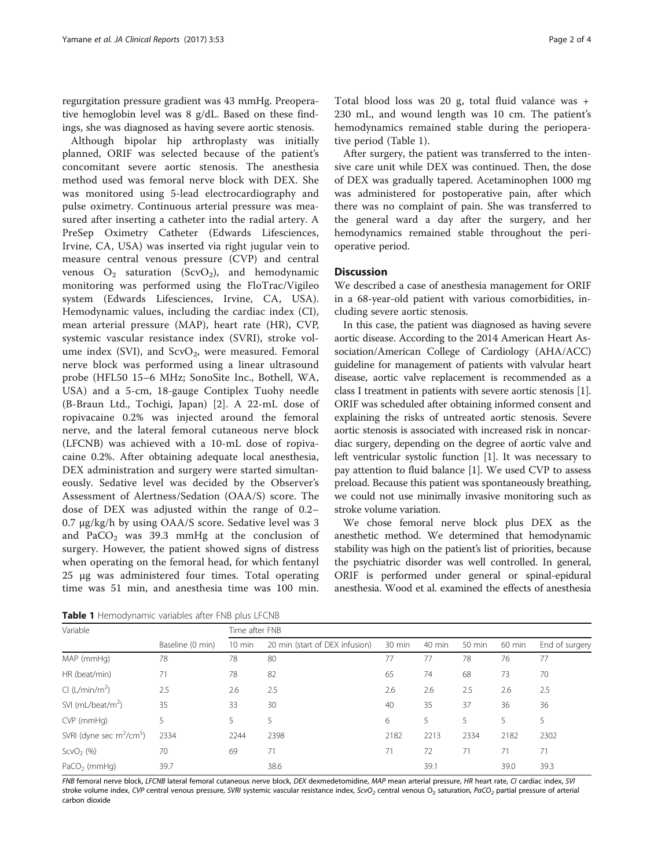<span id="page-1-0"></span>regurgitation pressure gradient was 43 mmHg. Preoperative hemoglobin level was 8 g/dL. Based on these findings, she was diagnosed as having severe aortic stenosis.

Although bipolar hip arthroplasty was initially planned, ORIF was selected because of the patient's concomitant severe aortic stenosis. The anesthesia method used was femoral nerve block with DEX. She was monitored using 5-lead electrocardiography and pulse oximetry. Continuous arterial pressure was measured after inserting a catheter into the radial artery. A PreSep Oximetry Catheter (Edwards Lifesciences, Irvine, CA, USA) was inserted via right jugular vein to measure central venous pressure (CVP) and central venous  $O_2$  saturation (ScvO<sub>2</sub>), and hemodynamic monitoring was performed using the FloTrac/Vigileo system (Edwards Lifesciences, Irvine, CA, USA). Hemodynamic values, including the cardiac index (CI), mean arterial pressure (MAP), heart rate (HR), CVP, systemic vascular resistance index (SVRI), stroke volume index (SVI), and  $ScvO<sub>2</sub>$ , were measured. Femoral nerve block was performed using a linear ultrasound probe (HFL50 15–6 MHz; SonoSite Inc., Bothell, WA, USA) and a 5-cm, 18-gauge Contiplex Tuohy needle (B-Braun Ltd., Tochigi, Japan) [\[2](#page-2-0)]. A 22-mL dose of ropivacaine 0.2% was injected around the femoral nerve, and the lateral femoral cutaneous nerve block (LFCNB) was achieved with a 10-mL dose of ropivacaine 0.2%. After obtaining adequate local anesthesia, DEX administration and surgery were started simultaneously. Sedative level was decided by the Observer's Assessment of Alertness/Sedation (OAA/S) score. The dose of DEX was adjusted within the range of 0.2– 0.7 μg/kg/h by using OAA/S score. Sedative level was 3 and PaCO<sub>2</sub> was 39.3 mmHg at the conclusion of surgery. However, the patient showed signs of distress when operating on the femoral head, for which fentanyl 25 μg was administered four times. Total operating time was 51 min, and anesthesia time was 100 min.

Total blood loss was 20 g, total fluid valance was + 230 mL, and wound length was 10 cm. The patient's hemodynamics remained stable during the perioperative period (Table 1).

After surgery, the patient was transferred to the intensive care unit while DEX was continued. Then, the dose of DEX was gradually tapered. Acetaminophen 1000 mg was administered for postoperative pain, after which there was no complaint of pain. She was transferred to the general ward a day after the surgery, and her hemodynamics remained stable throughout the perioperative period.

# **Discussion**

We described a case of anesthesia management for ORIF in a 68-year-old patient with various comorbidities, including severe aortic stenosis.

In this case, the patient was diagnosed as having severe aortic disease. According to the 2014 American Heart Association/American College of Cardiology (AHA/ACC) guideline for management of patients with valvular heart disease, aortic valve replacement is recommended as a class I treatment in patients with severe aortic stenosis [[1](#page-2-0)]. ORIF was scheduled after obtaining informed consent and explaining the risks of untreated aortic stenosis. Severe aortic stenosis is associated with increased risk in noncardiac surgery, depending on the degree of aortic valve and left ventricular systolic function [[1\]](#page-2-0). It was necessary to pay attention to fluid balance [[1](#page-2-0)]. We used CVP to assess preload. Because this patient was spontaneously breathing, we could not use minimally invasive monitoring such as stroke volume variation.

We chose femoral nerve block plus DEX as the anesthetic method. We determined that hemodynamic stability was high on the patient's list of priorities, because the psychiatric disorder was well controlled. In general, ORIF is performed under general or spinal-epidural anesthesia. Wood et al. examined the effects of anesthesia

| Variable                                         | Baseline (0 min) | Time after FNB   |                                |        |        |        |          |                |
|--------------------------------------------------|------------------|------------------|--------------------------------|--------|--------|--------|----------|----------------|
|                                                  |                  | $10 \text{ min}$ | 20 min (start of DEX infusion) | 30 min | 40 min | 50 min | $60$ min | End of surgery |
| MAP (mmHg)                                       | 78               | 78               | 80                             | 77     | 77     | 78     | 76       | 77             |
| HR (beat/min)                                    | 71               | 78               | 82                             | 65     | 74     | 68     | 73       | 70             |
| Cl (L/min/m <sup>2</sup> )                       | 2.5              | 2.6              | 2.5                            | 2.6    | 2.6    | 2.5    | 2.6      | 2.5            |
| SVI ( $mL/beat/m2$ )                             | 35               | 33               | 30                             | 40     | 35     | 37     | 36       | 36             |
| CVP (mmHg)                                       | 5                | 5.               | 5                              | 6      | 5      | 5      | 5        | 5              |
| SVRI (dyne sec m <sup>2</sup> /cm <sup>5</sup> ) | 2334             | 2244             | 2398                           | 2182   | 2213   | 2334   | 2182     | 2302           |
| $ScvO2$ (%)                                      | 70               | 69               | 71                             | 71     | 72     | 71     | 71       | 71             |
| $PaCO2$ (mmHg)                                   | 39.7             |                  | 38.6                           |        | 39.1   |        | 39.0     | 39.3           |

Table 1 Hemodynamic variables after FNB plus LFCNB

FNB femoral nerve block, LFCNB lateral femoral cutaneous nerve block, DEX dexmedetomidine, MAP mean arterial pressure, HR heart rate, CI cardiac index, SVI stroke volume index, CVP central venous pressure, SVRI systemic vascular resistance index,  $ScVO<sub>2</sub>$  central venous O<sub>2</sub> saturation, PaCO<sub>2</sub> partial pressure of arterial carbon dioxide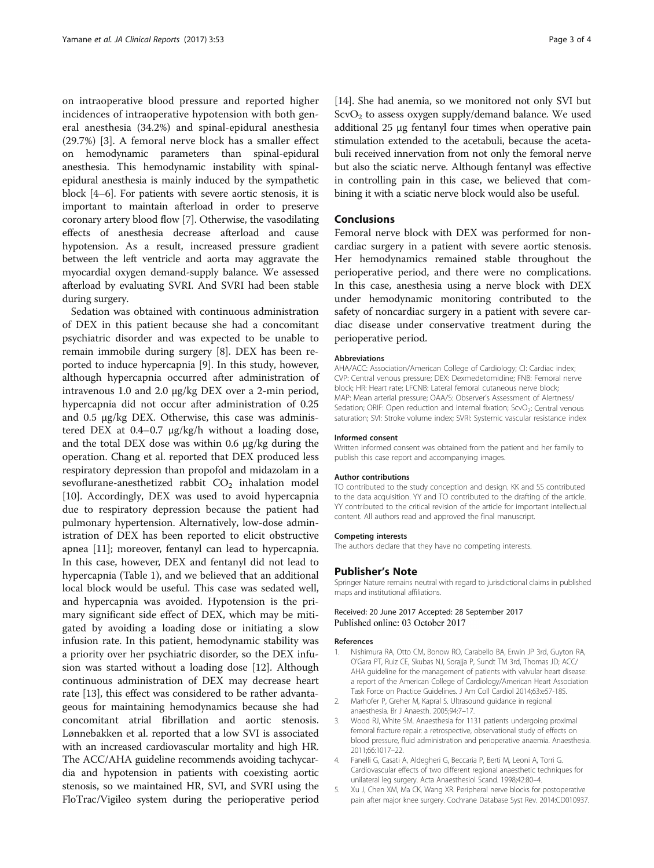<span id="page-2-0"></span>on intraoperative blood pressure and reported higher incidences of intraoperative hypotension with both general anesthesia (34.2%) and spinal-epidural anesthesia (29.7%) [3]. A femoral nerve block has a smaller effect on hemodynamic parameters than spinal-epidural anesthesia. This hemodynamic instability with spinalepidural anesthesia is mainly induced by the sympathetic block [4–[6\]](#page-3-0). For patients with severe aortic stenosis, it is important to maintain afterload in order to preserve coronary artery blood flow [\[7\]](#page-3-0). Otherwise, the vasodilating effects of anesthesia decrease afterload and cause hypotension. As a result, increased pressure gradient between the left ventricle and aorta may aggravate the myocardial oxygen demand-supply balance. We assessed afterload by evaluating SVRI. And SVRI had been stable during surgery.

Sedation was obtained with continuous administration of DEX in this patient because she had a concomitant psychiatric disorder and was expected to be unable to remain immobile during surgery [\[8](#page-3-0)]. DEX has been reported to induce hypercapnia [\[9](#page-3-0)]. In this study, however, although hypercapnia occurred after administration of intravenous 1.0 and 2.0 μg/kg DEX over a 2-min period, hypercapnia did not occur after administration of 0.25 and 0.5 μg/kg DEX. Otherwise, this case was administered DEX at 0.4–0.7 μg/kg/h without a loading dose, and the total DEX dose was within 0.6 μg/kg during the operation. Chang et al. reported that DEX produced less respiratory depression than propofol and midazolam in a sevoflurane-anesthetized rabbit  $CO<sub>2</sub>$  inhalation model [[10\]](#page-3-0). Accordingly, DEX was used to avoid hypercapnia due to respiratory depression because the patient had pulmonary hypertension. Alternatively, low-dose administration of DEX has been reported to elicit obstructive apnea [[11\]](#page-3-0); moreover, fentanyl can lead to hypercapnia. In this case, however, DEX and fentanyl did not lead to hypercapnia (Table [1](#page-1-0)), and we believed that an additional local block would be useful. This case was sedated well, and hypercapnia was avoided. Hypotension is the primary significant side effect of DEX, which may be mitigated by avoiding a loading dose or initiating a slow infusion rate. In this patient, hemodynamic stability was a priority over her psychiatric disorder, so the DEX infusion was started without a loading dose [[12\]](#page-3-0). Although continuous administration of DEX may decrease heart rate [\[13](#page-3-0)], this effect was considered to be rather advantageous for maintaining hemodynamics because she had concomitant atrial fibrillation and aortic stenosis. Lønnebakken et al. reported that a low SVI is associated with an increased cardiovascular mortality and high HR. The ACC/AHA guideline recommends avoiding tachycardia and hypotension in patients with coexisting aortic stenosis, so we maintained HR, SVI, and SVRI using the FloTrac/Vigileo system during the perioperative period

[[14](#page-3-0)]. She had anemia, so we monitored not only SVI but  $ScvO<sub>2</sub>$  to assess oxygen supply/demand balance. We used additional 25 μg fentanyl four times when operative pain stimulation extended to the acetabuli, because the acetabuli received innervation from not only the femoral nerve but also the sciatic nerve. Although fentanyl was effective in controlling pain in this case, we believed that combining it with a sciatic nerve block would also be useful.

### **Conclusions**

Femoral nerve block with DEX was performed for noncardiac surgery in a patient with severe aortic stenosis. Her hemodynamics remained stable throughout the perioperative period, and there were no complications. In this case, anesthesia using a nerve block with DEX under hemodynamic monitoring contributed to the safety of noncardiac surgery in a patient with severe cardiac disease under conservative treatment during the perioperative period.

### Abbreviations

AHA/ACC: Association/American College of Cardiology; CI: Cardiac index; CVP: Central venous pressure; DEX: Dexmedetomidine; FNB: Femoral nerve block; HR: Heart rate; LFCNB: Lateral femoral cutaneous nerve block; MAP: Mean arterial pressure; OAA/S: Observer's Assessment of Alertness/ Sedation; ORIF: Open reduction and internal fixation; ScvO<sub>2</sub>: Central venous saturation; SVI: Stroke volume index; SVRI: Systemic vascular resistance index

#### Informed consent

Written informed consent was obtained from the patient and her family to publish this case report and accompanying images.

#### Author contributions

TO contributed to the study conception and design. KK and SS contributed to the data acquisition. YY and TO contributed to the drafting of the article. YY contributed to the critical revision of the article for important intellectual content. All authors read and approved the final manuscript.

### Competing interests

The authors declare that they have no competing interests.

#### Publisher's Note

Springer Nature remains neutral with regard to jurisdictional claims in published maps and institutional affiliations.

### Received: 20 June 2017 Accepted: 28 September 2017 Published online: 03 October 2017

#### References

- 1. Nishimura RA, Otto CM, Bonow RO, Carabello BA, Erwin JP 3rd, Guyton RA, O'Gara PT, Ruiz CE, Skubas NJ, Sorajja P, Sundt TM 3rd, Thomas JD; ACC/ AHA guideline for the management of patients with valvular heart disease: a report of the American College of Cardiology/American Heart Association Task Force on Practice Guidelines. J Am Coll Cardiol 2014;63:e57-185.
- 2. Marhofer P, Greher M, Kapral S. Ultrasound guidance in regional anaesthesia. Br J Anaesth. 2005;94:7–17.
- 3. Wood RJ, White SM. Anaesthesia for 1131 patients undergoing proximal femoral fracture repair: a retrospective, observational study of effects on blood pressure, fluid administration and perioperative anaemia. Anaesthesia. 2011;66:1017–22.
- 4. Fanelli G, Casati A, Aldegheri G, Beccaria P, Berti M, Leoni A, Torri G. Cardiovascular effects of two different regional anaesthetic techniques for unilateral leg surgery. Acta Anaesthesiol Scand. 1998;42:80–4.
- 5. Xu J, Chen XM, Ma CK, Wang XR. Peripheral nerve blocks for postoperative pain after major knee surgery. Cochrane Database Syst Rev. 2014:CD010937.